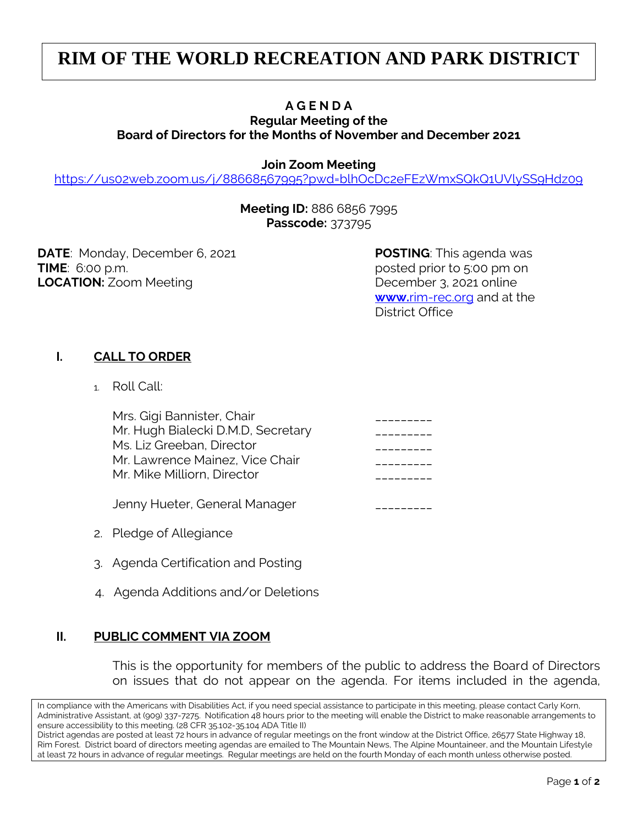# **RIM OF THE WORLD RECREATION AND PARK DISTRICT**

## **A G E N D A**

#### **Regular Meeting of the Board of Directors for the Months of November and December 2021**

#### **Join Zoom Meeting**

<https://us02web.zoom.us/j/88668567995?pwd=blhOcDc2eFEzWmxSQkQ1UVlySS9Hdz09>

#### **Meeting ID:** 886 6856 7995 **Passcode:** 373795

**DATE**: Monday, December 6, 2021 **POSTING**: This agenda was **TIME**: 6:00 p.m. **LOCATION:** Zoom Meeting **December 3, 2021 online** 

**www.**[rim-rec.org](http://www.rim-rec.org/) and at the District Office

### **I. CALL TO ORDER**

1. Roll Call:

| Mrs. Gigi Bannister, Chair         |  |
|------------------------------------|--|
| Mr. Hugh Bialecki D.M.D, Secretary |  |
| Ms. Liz Greeban, Director          |  |
| Mr. Lawrence Mainez, Vice Chair    |  |
| Mr. Mike Milliorn, Director        |  |
|                                    |  |

Jenny Hueter, General Manager \_\_\_\_\_\_\_\_\_

- 2. Pledge of Allegiance
- 3. Agenda Certification and Posting
- 4. Agenda Additions and/or Deletions

#### **II. PUBLIC COMMENT VIA ZOOM**

This is the opportunity for members of the public to address the Board of Directors on issues that do not appear on the agenda. For items included in the agenda,

In compliance with the Americans with Disabilities Act, if you need special assistance to participate in this meeting, please contact Carly Korn, Administrative Assistant, at (909) 337-7275. Notification 48 hours prior to the meeting will enable the District to make reasonable arrangements to ensure accessibility to this meeting. (28 CFR 35.102-35.104 ADA Title II)

District agendas are posted at least 72 hours in advance of regular meetings on the front window at the District Office, 26577 State Highway 18, Rim Forest. District board of directors meeting agendas are emailed to The Mountain News, The Alpine Mountaineer, and the Mountain Lifestyle at least 72 hours in advance of regular meetings. Regular meetings are held on the fourth Monday of each month unless otherwise posted.